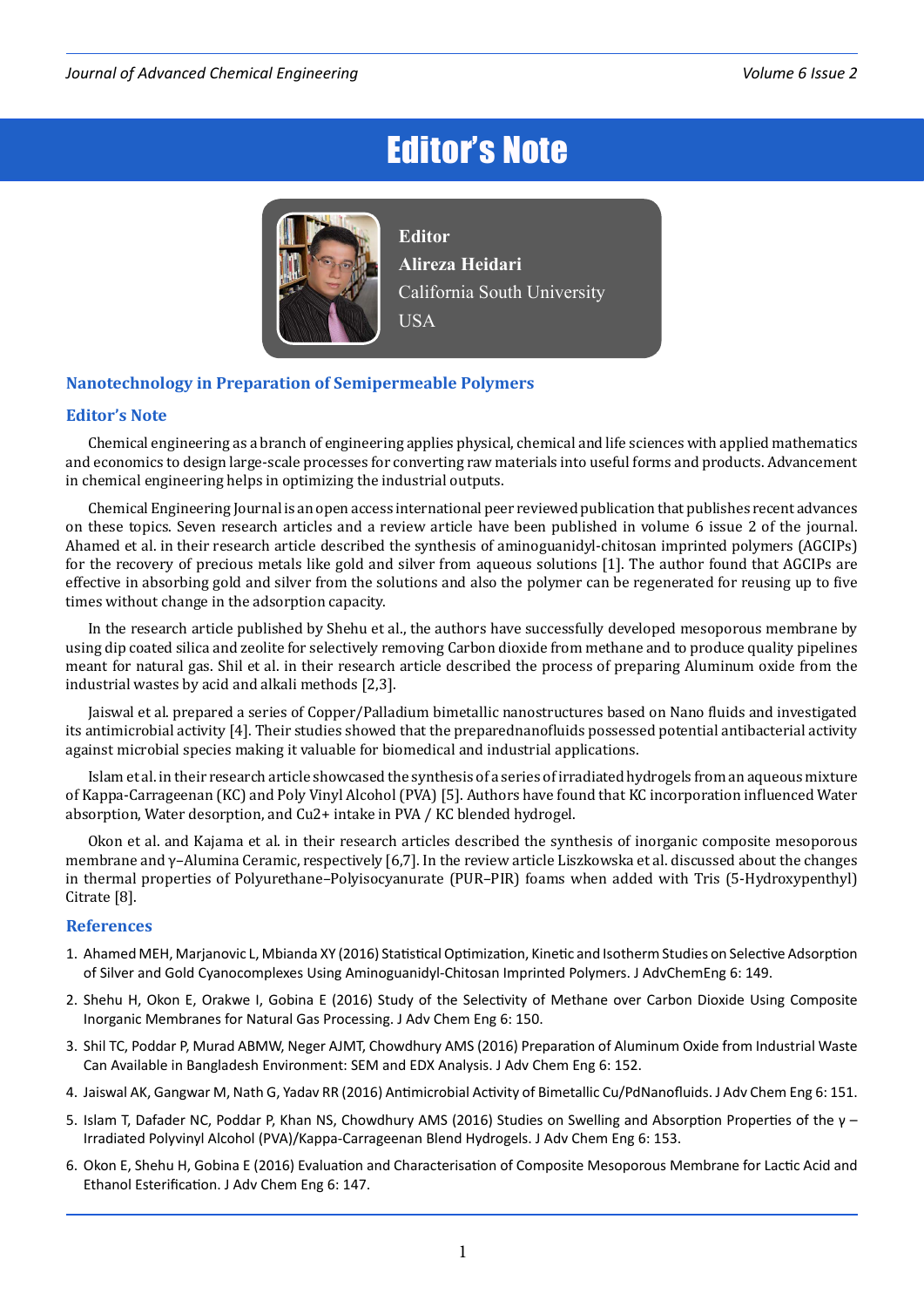## Editor's Note



**Editor Alireza Heidari** California South University **USA** 

## **Nanotechnology in Preparation of Semipermeable Polymers**

## **Editor's Note**

Chemical engineering as a branch of engineering applies physical, chemical and life sciences with applied mathematics and economics to design large-scale processes for converting raw materials into useful forms and products. Advancement in chemical engineering helps in optimizing the industrial outputs.

Chemical Engineering Journal is an open access international peer reviewed publication that publishes recent advances on these topics. Seven research articles and a review article have been published in volume 6 issue 2 of the journal. Ahamed et al. in their research article described the synthesis of aminoguanidyl-chitosan imprinted polymers (AGCIPs) for the recovery of precious metals like gold and silver from aqueous solutions [1]. The author found that AGCIPs are effective in absorbing gold and silver from the solutions and also the polymer can be regenerated for reusing up to five times without change in the adsorption capacity.

In the research article published by Shehu et al., the authors have successfully developed mesoporous membrane by using dip coated silica and zeolite for selectively removing Carbon dioxide from methane and to produce quality pipelines meant for natural gas. Shil et al. in their research article described the process of preparing Aluminum oxide from the industrial wastes by acid and alkali methods [2,3].

Jaiswal et al. prepared a series of Copper/Palladium bimetallic nanostructures based on Nano fluids and investigated its antimicrobial activity [4]. Their studies showed that the preparednanofluids possessed potential antibacterial activity against microbial species making it valuable for biomedical and industrial applications.

Islam et al. in their research article showcased the synthesis of a series of irradiated hydrogels from an aqueous mixture of Kappa-Carrageenan (KC) and Poly Vinyl Alcohol (PVA) [5]. Authors have found that KC incorporation influenced Water absorption, Water desorption, and Cu2+ intake in PVA / KC blended hydrogel.

Okon et al. and Kajama et al. in their research articles described the synthesis of inorganic composite mesoporous membrane and γ–Alumina Ceramic, respectively [6,7]. In the review article Liszkowska et al. discussed about the changes in thermal properties of Polyurethane–Polyisocyanurate (PUR–PIR) foams when added with Tris (5-Hydroxypenthyl) Citrate [8].

## **References**

- 1. [Ahamed MEH, Marjanovic L, Mbianda XY \(2016\) Statistical Optimization, Kinetic and Isotherm Studies on Selective Adsorption](http://www.omicsonline.com/open-access/statistical-optimization-kinetic-and-isotherm-studies-on-selectiveadsorption-of-silver-and-gold-cyanocomplexes-using-aminoguanidyl-2090-4568-1000149.php?aid=74307)  [of Silver and Gold Cyanocomplexes Using Aminoguanidyl-Chitosan Imprinted Polymers. J AdvChemEng 6: 149.](http://www.omicsonline.com/open-access/statistical-optimization-kinetic-and-isotherm-studies-on-selectiveadsorption-of-silver-and-gold-cyanocomplexes-using-aminoguanidyl-2090-4568-1000149.php?aid=74307)
- 2. [Shehu H, Okon E, Orakwe I, Gobina E \(2016\) Study of the Selectivity of Methane over Carbon Dioxide Using Composite](http://www.omicsonline.com/open-access/study-of-the-selectivity-of-methane-over-carbon-dioxide-using-compositeinorganic-membranes-for-natural-gas-processing-2090-4568-1000150.php?aid=74308)  [Inorganic Membranes for Natural Gas Processing. J Adv Chem Eng 6: 150.](http://www.omicsonline.com/open-access/study-of-the-selectivity-of-methane-over-carbon-dioxide-using-compositeinorganic-membranes-for-natural-gas-processing-2090-4568-1000150.php?aid=74308)
- 3. [Shil TC, Poddar P, Murad ABMW, Neger AJMT, Chowdhury AMS \(2016\) Preparation of Aluminum Oxide from Industrial Waste](http://www.omicsonline.com/open-access/preparation-of-aluminum-oxide-from-industrial-waste-can-available-inbangladesh-environment-sem-and-edx-analysis-2090-4568-1000152.php?aid=74310)  [Can Available in Bangladesh Environment: SEM and EDX Analysis. J Adv Chem Eng 6: 152.](http://www.omicsonline.com/open-access/preparation-of-aluminum-oxide-from-industrial-waste-can-available-inbangladesh-environment-sem-and-edx-analysis-2090-4568-1000152.php?aid=74310)
- 4. [Jaiswal AK, Gangwar M, Nath G, Yadav RR \(2016\) Antimicrobial Activity of Bimetallic Cu/PdNanofluids. J Adv Chem Eng 6: 151.](http://www.omicsonline.com/open-access/antimicrobial-activity-of-bimetallic-cupd-nanofluids-2090-4568-1000151.php?aid=74309)
- 5. [Islam T, Dafader NC, Poddar P, Khan NS, Chowdhury AMS \(2016\) Studies on Swelling and Absorption Properties of the γ](http://www.omicsonline.com/open-access/studies-on-swelling-and-absorption-properties-of-the-irradiatedpolyvinyl-alcohol-pvakappacarrageenan-blend-hydrogels-2090-4568-1000153.php?aid=74312)  [Irradiated Polyvinyl Alcohol \(PVA\)/Kappa-Carrageenan Blend Hydrogels. J Adv Chem Eng 6: 153.](http://www.omicsonline.com/open-access/studies-on-swelling-and-absorption-properties-of-the-irradiatedpolyvinyl-alcohol-pvakappacarrageenan-blend-hydrogels-2090-4568-1000153.php?aid=74312)
- 6. [Okon E, Shehu H, Gobina E \(2016\) Evaluation and Characterisation of Composite Mesoporous Membrane for Lactic Acid and](http://www.omicsonline.com/open-access/evaluation-and-characterisation-of-composite-mesoporous-membrane-forlactic-acid-and-ethanol-esterification-2090-4568-1000147.php?aid=74304)  [Ethanol Esterification. J Adv Chem Eng 6: 147.](http://www.omicsonline.com/open-access/evaluation-and-characterisation-of-composite-mesoporous-membrane-forlactic-acid-and-ethanol-esterification-2090-4568-1000147.php?aid=74304)